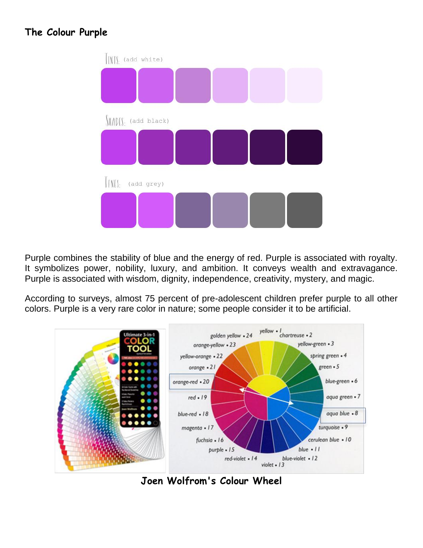#### **The Colour Purple**



Purple combines the stability of blue and the energy of red. Purple is associated with royalty. It symbolizes power, nobility, luxury, and ambition. It conveys wealth and extravagance. Purple is associated with wisdom, dignity, independence, creativity, mystery, and magic.

According to surveys, almost 75 percent of pre-adolescent children prefer purple to all other colors. Purple is a very rare color in nature; some people consider it to be artificial.



**Joen Wolfrom's Colour Wheel**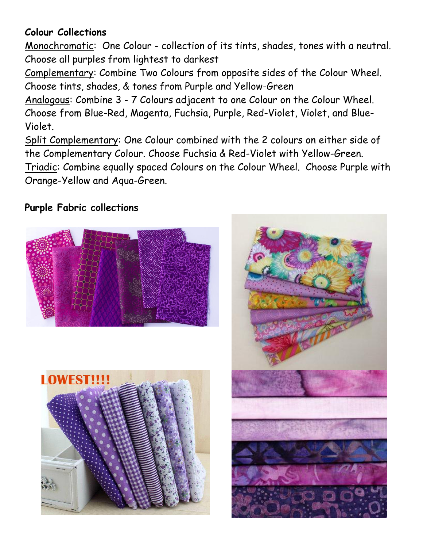# **Colour Collections**

Monochromatic: One Colour - collection of its tints, shades, tones with a neutral. Choose all purples from lightest to darkest

Complementary: Combine Two Colours from opposite sides of the Colour Wheel. Choose tints, shades, & tones from Purple and Yellow-Green

Analogous: Combine 3 - 7 Colours adjacent to one Colour on the Colour Wheel. Choose from Blue-Red, Magenta, Fuchsia, Purple, Red-Violet, Violet, and Blue-Violet.

Split Complementary: One Colour combined with the 2 colours on either side of the Complementary Colour. Choose Fuchsia & Red-Violet with Yellow-Green. Triadic: Combine equally spaced Colours on the Colour Wheel. Choose Purple with Orange-Yellow and Aqua-Green.

# **Purple Fabric collections**





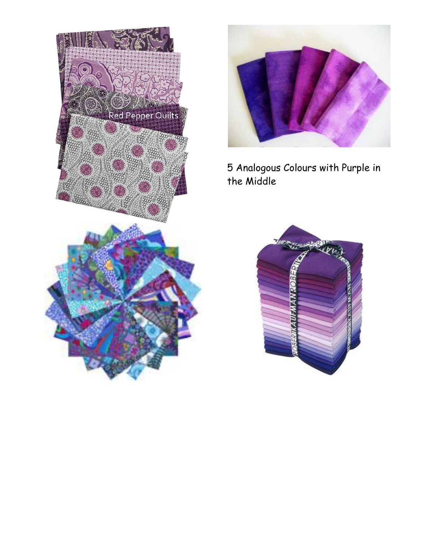



5 Analogous Colours with Purple in the Middle

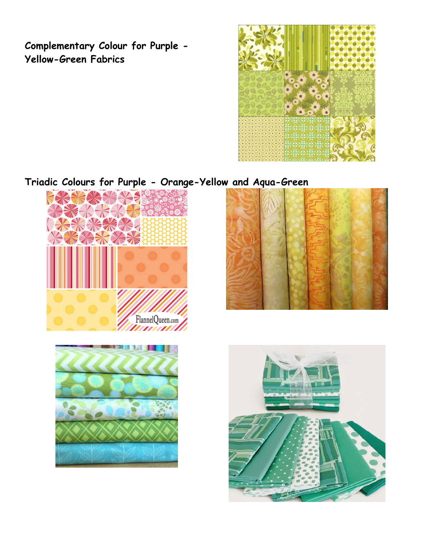**Complementary Colour for Purple - Yellow-Green Fabrics**



**Triadic Colours for Purple - Orange-Yellow and Aqua-Green**







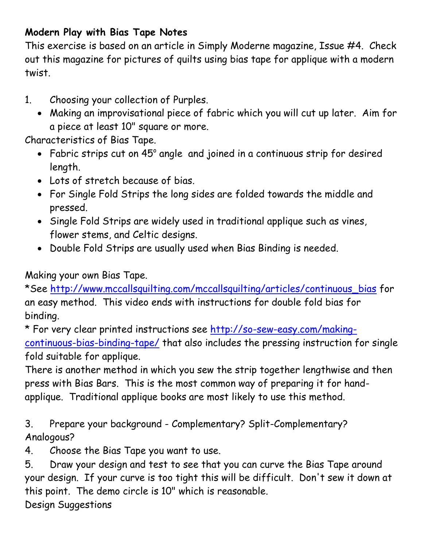# **Modern Play with Bias Tape Notes**

This exercise is based on an article in Simply Moderne magazine, Issue #4. Check out this magazine for pictures of quilts using bias tape for applique with a modern twist.

- 1. Choosing your collection of Purples.
	- Making an improvisational piece of fabric which you will cut up later. Aim for a piece at least 10" square or more.

Characteristics of Bias Tape.

- Fabric strips cut on 45° angle and joined in a continuous strip for desired length.
- Lots of stretch because of bias.
- For Single Fold Strips the long sides are folded towards the middle and pressed.
- Single Fold Strips are widely used in traditional applique such as vines, flower stems, and Celtic designs.
- Double Fold Strips are usually used when Bias Binding is needed.

Making your own Bias Tape.

\*See [http://www.mccallsquilting.com/mccallsquilting/articles/continuous\\_bias](http://www.mccallsquilting.com/mccallsquilting/articles/continuous_bias) for an easy method. This video ends with instructions for double fold bias for binding.

\* For very clear printed instructions see [http://so-sew-easy.com/making](http://so-sew-easy.com/making-continuous-bias-binding-tape/)[continuous-bias-binding-tape/](http://so-sew-easy.com/making-continuous-bias-binding-tape/) that also includes the pressing instruction for single fold suitable for applique.

There is another method in which you sew the strip together lengthwise and then press with Bias Bars. This is the most common way of preparing it for handapplique. Traditional applique books are most likely to use this method.

3. Prepare your background - Complementary? Split-Complementary? Analogous?

4. Choose the Bias Tape you want to use.

5. Draw your design and test to see that you can curve the Bias Tape around your design. If your curve is too tight this will be difficult. Don't sew it down at this point. The demo circle is 10" which is reasonable.

Design Suggestions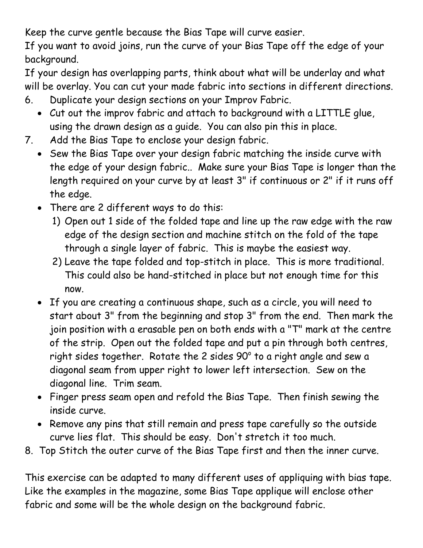Keep the curve gentle because the Bias Tape will curve easier.

If you want to avoid joins, run the curve of your Bias Tape off the edge of your background.

If your design has overlapping parts, think about what will be underlay and what will be overlay. You can cut your made fabric into sections in different directions.

- 6. Duplicate your design sections on your Improv Fabric.
	- Cut out the improv fabric and attach to background with a LITTLE glue, using the drawn design as a guide. You can also pin this in place.
- 7. Add the Bias Tape to enclose your design fabric.
	- Sew the Bias Tape over your design fabric matching the inside curve with the edge of your design fabric.. Make sure your Bias Tape is longer than the length required on your curve by at least 3" if continuous or 2" if it runs off the edge.
	- There are 2 different ways to do this:
		- 1) Open out 1 side of the folded tape and line up the raw edge with the raw edge of the design section and machine stitch on the fold of the tape through a single layer of fabric. This is maybe the easiest way.
		- 2) Leave the tape folded and top-stitch in place. This is more traditional. This could also be hand-stitched in place but not enough time for this now.
	- If you are creating a continuous shape, such as a circle, you will need to start about 3" from the beginning and stop 3" from the end. Then mark the join position with a erasable pen on both ends with a "T" mark at the centre of the strip. Open out the folded tape and put a pin through both centres, right sides together. Rotate the 2 sides  $90^{\circ}$  to a right angle and sew a diagonal seam from upper right to lower left intersection. Sew on the diagonal line. Trim seam.
	- Finger press seam open and refold the Bias Tape. Then finish sewing the inside curve.
	- Remove any pins that still remain and press tape carefully so the outside curve lies flat. This should be easy. Don't stretch it too much.
- 8. Top Stitch the outer curve of the Bias Tape first and then the inner curve.

This exercise can be adapted to many different uses of appliquing with bias tape. Like the examples in the magazine, some Bias Tape applique will enclose other fabric and some will be the whole design on the background fabric.